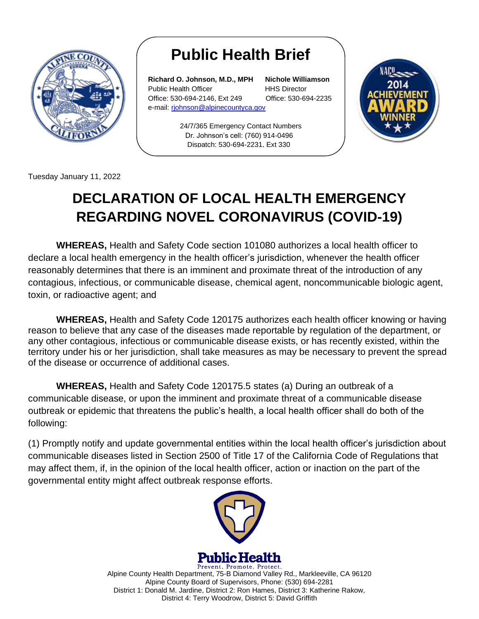

## **Public Health Brief**

**Richard O. Johnson, M.D., MPH Nichole Williamson** Public Health Officer **HHS Director** Office: 530-694-2146, Ext 249 Office: 530-694-2235 e-mail: [rjohnson@alpinecountyca.gov](mailto:rjohnson@alpinecountyca.gov) 

24/7/365 Emergency Contact Numbers Dr. Johnson's cell: (760) 914-0496 Dispatch: 530-694-2231, Ext 330



Tuesday January 11, 2022

## **DECLARATION OF LOCAL HEALTH EMERGENCY REGARDING NOVEL CORONAVIRUS (COVID-19)**

**WHEREAS,** Health and Safety Code section 101080 authorizes a local health officer to declare a local health emergency in the health officer's jurisdiction, whenever the health officer reasonably determines that there is an imminent and proximate threat of the introduction of any contagious, infectious, or communicable disease, chemical agent, noncommunicable biologic agent, toxin, or radioactive agent; and

**WHEREAS,** Health and Safety Code 120175 authorizes each health officer knowing or having reason to believe that any case of the diseases made reportable by regulation of the department, or any other contagious, infectious or communicable disease exists, or has recently existed, within the territory under his or her jurisdiction, shall take measures as may be necessary to prevent the spread of the disease or occurrence of additional cases.

**WHEREAS,** Health and Safety Code 120175.5 states (a) During an outbreak of a communicable disease, or upon the imminent and proximate threat of a communicable disease outbreak or epidemic that threatens the public's health, a local health officer shall do both of the following:

(1) Promptly notify and update governmental entities within the local health officer's jurisdiction about communicable diseases listed in Section 2500 of Title 17 of the California Code of Regulations that may affect them, if, in the opinion of the local health officer, action or inaction on the part of the governmental entity might affect outbreak response efforts.



Prevent. Promote. Protect. Alpine County Health Department, 75-B Diamond Valley Rd., Markleeville, CA 96120 Alpine County Board of Supervisors, Phone: (530) 694-2281 District 1: Donald M. Jardine, District 2: Ron Hames, District 3: Katherine Rakow, District 4: Terry Woodrow, District 5: David Griffith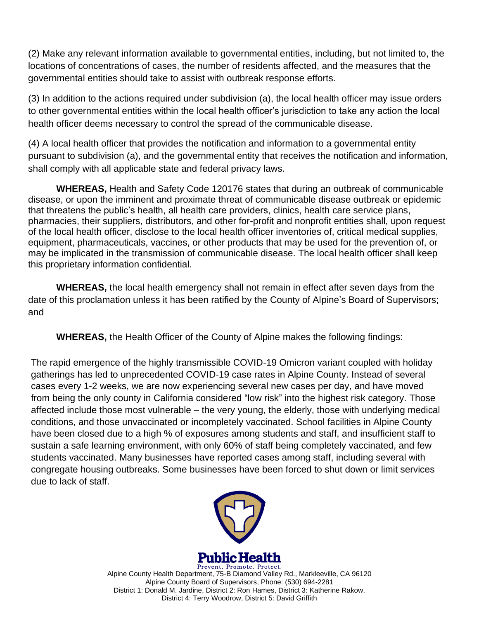(2) Make any relevant information available to governmental entities, including, but not limited to, the locations of concentrations of cases, the number of residents affected, and the measures that the governmental entities should take to assist with outbreak response efforts.

(3) In addition to the actions required under subdivision (a), the local health officer may issue orders to other governmental entities within the local health officer's jurisdiction to take any action the local health officer deems necessary to control the spread of the communicable disease.

(4) A local health officer that provides the notification and information to a governmental entity pursuant to subdivision (a), and the governmental entity that receives the notification and information, shall comply with all applicable state and federal privacy laws.

**WHEREAS,** Health and Safety Code 120176 states that during an outbreak of communicable disease, or upon the imminent and proximate threat of communicable disease outbreak or epidemic that threatens the public's health, all health care providers, clinics, health care service plans, pharmacies, their suppliers, distributors, and other for-profit and nonprofit entities shall, upon request of the local health officer, disclose to the local health officer inventories of, critical medical supplies, equipment, pharmaceuticals, vaccines, or other products that may be used for the prevention of, or may be implicated in the transmission of communicable disease. The local health officer shall keep this proprietary information confidential.

**WHEREAS,** the local health emergency shall not remain in effect after seven days from the date of this proclamation unless it has been ratified by the County of Alpine's Board of Supervisors; and

**WHEREAS,** the Health Officer of the County of Alpine makes the following findings:

The rapid emergence of the highly transmissible COVID-19 Omicron variant coupled with holiday gatherings has led to unprecedented COVID-19 case rates in Alpine County. Instead of several cases every 1-2 weeks, we are now experiencing several new cases per day, and have moved from being the only county in California considered "low risk" into the highest risk category. Those affected include those most vulnerable – the very young, the elderly, those with underlying medical conditions, and those unvaccinated or incompletely vaccinated. School facilities in Alpine County have been closed due to a high % of exposures among students and staff, and insufficient staff to sustain a safe learning environment, with only 60% of staff being completely vaccinated, and few students vaccinated. Many businesses have reported cases among staff, including several with congregate housing outbreaks. Some businesses have been forced to shut down or limit services due to lack of staff.



**Public Health** 

Prevent. Promote. Protect. Alpine County Health Department, 75-B Diamond Valley Rd., Markleeville, CA 96120 Alpine County Board of Supervisors, Phone: (530) 694-2281 District 1: Donald M. Jardine, District 2: Ron Hames, District 3: Katherine Rakow, District 4: Terry Woodrow, District 5: David Griffith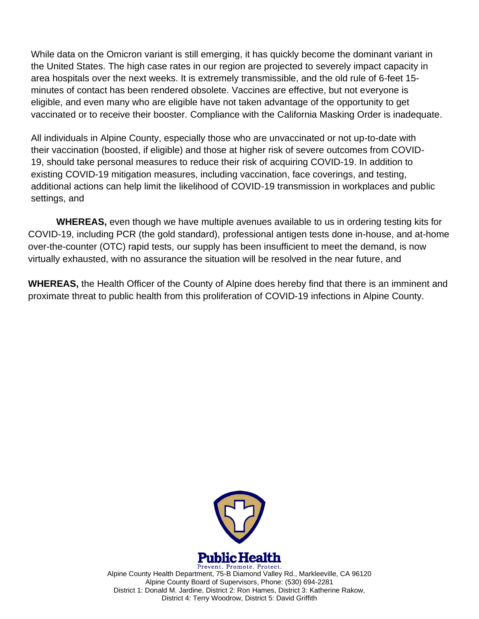While data on the Omicron variant is still emerging, it has quickly become the dominant variant in the United States. The high case rates in our region are projected to severely impact capacity in area hospitals over the next weeks. It is extremely transmissible, and the old rule of 6-feet 15 minutes of contact has been rendered obsolete. Vaccines are effective, but not everyone is eligible, and even many who are eligible have not taken advantage of the opportunity to get vaccinated or to receive their booster. Compliance with the California Masking Order is inadequate.

All individuals in Alpine County, especially those who are unvaccinated or not up-to-date with their vaccination (boosted, if eligible) and those at higher risk of severe outcomes from COVID-19, should take personal measures to reduce their risk of acquiring COVID-19. In addition to existing COVID-19 mitigation measures, including vaccination, face coverings, and testing, additional actions can help limit the likelihood of COVID-19 transmission in workplaces and public settings, and

**WHEREAS,** even though we have multiple avenues available to us in ordering testing kits for COVID-19, including PCR (the gold standard), professional antigen tests done in-house, and at-home over-the-counter (OTC) rapid tests, our supply has been insufficient to meet the demand, is now virtually exhausted, with no assurance the situation will be resolved in the near future, and

**WHEREAS,** the Health Officer of the County of Alpine does hereby find that there is an imminent and proximate threat to public health from this proliferation of COVID-19 infections in Alpine County.



Prevent. Promote. Protect. Alpine County Health Department, 75-B Diamond Valley Rd., Markleeville, CA 96120 Alpine County Board of Supervisors, Phone: (530) 694-2281 District 1: Donald M. Jardine, District 2: Ron Hames, District 3: Katherine Rakow, District 4: Terry Woodrow, District 5: David Griffith